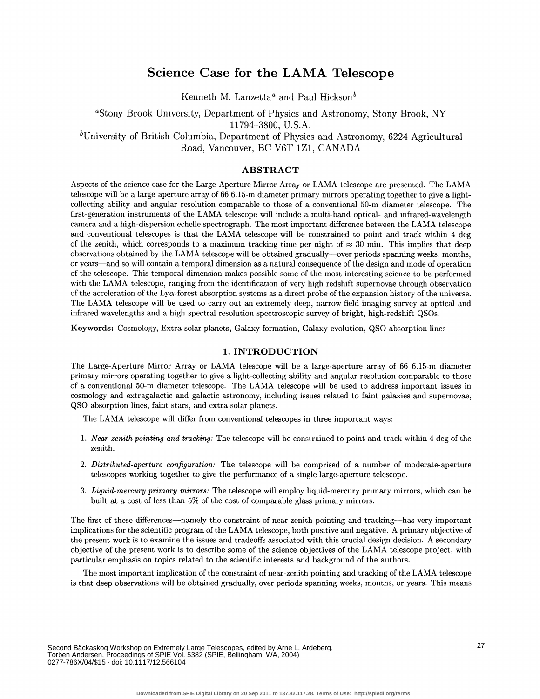# Science Case for the LAMA Telescope

Kenneth M. Lanzetta<sup>a</sup> and Paul Hickson<sup>b</sup>

<sup>a</sup>Stony Brook University, Department of Physics and Astronomy, Stony Brook, NY 11794—3800, U.S.A.  $<sup>b</sup>University of British Columbia, Department of Physics and Astronomy, 6224 Agricultural$ </sup> Road, Vancouver, BC V6T 1Z1, CANADA

### ABSTRACT

Aspects of the science case for the Large-Aperture Mirror Array or LAMA telescope are presented. The LAMA telescope will be a large-aperture array of 66 6.15-m diameter primary mirrors operating together to give a lightcollecting ability and angular resolution comparable to those of a conventional 50-m diameter telescope. The first-generation instruments of the LAMA telescope will include a multi-band optical- and infrared-wavelength camera and a high-dispersion echelle spectrograph. The most important difference between the LAMA telescope and conventional telescopes is that the LAMA telescope will be constrained to point and track within 4 deg of the zenith, which corresponds to a maximum tracking time per night of  $\approx 30$  min. This implies that deep observations obtained by the LAMA telescope will be obtained gradually—over periods spanning weeks, months, or years—and so will contain a temporal dimension as a natural consequence of the design and mode of operation of the telescope. This temporal dimension makes possible some of the most interesting science to be performed with the LAMA telescope, ranging from the identification of very high redshift supernovae through observation of the acceleration of the Ly $\alpha$ -forest absorption systems as a direct probe of the expansion history of the universe. The LAMA telescope will be used to carry out an extremely deep, narrow-field imaging survey at optical and infrared wavelengths and a high spectral resolution spectroscopic survey of bright, high-redshift QSOs.

Keywords: Cosmology, Extra-solar planets, Galaxy formation, Galaxy evolution, QSO absorption lines

### 1. INTRODUCTION

The Large-Aperture Mirror Array or LAMA telescope will be a large-aperture array of 66 6.15-m diameter primary mirrors operating together to give a light-collecting ability and angular resolution comparable to those of a conventional 50-m diameter telescope. The LAMA telescope will be used to address important issues in cosmology and extragalactic and galactic astronomy, including issues related to faint galaxies and supernovae, QSO absorption lines, faint stars, and extra-solar planets.

The LAMA telescope will differ from conventional telescopes in three important ways:

- 1 . Near-zenith pointing and tracking: The telescope will be constrained to point and track within 4 deg of the zenith.
- 2. Distributed-aperture configuration: The telescope will be comprised of a number of moderate-aperture telescopes working together to give the performance of a single large-aperture telescope.
- 3. Liquid-mercury primary mirrors: The telescope will employ liquid-mercury primary mirrors, which can be built at a cost of less than 5% of the cost of comparable glass primary mirrors.

The first of these differences—namely the constraint of near-zenith pointing and tracking—has very important implications for the scientific program of the LAMA telescope, both positive and negative. A primary objective of the present work is to examine the issues and tradeoffs associated with this crucial design decision. A secondary objective of the present work is to describe some of the science objectives of the LAMA telescope project, with particular emphasis on topics related to the scientific interests and background of the authors.

The most important implication of the constraint of near-zenith pointing and tracking of the LAMA telescope is that deep observations will be obtained gradually, over periods spanning weeks, months, or years. This means

Second Bäckaskog Workshop on Extremely Large Telescopes, edited by Arne L. Ardeberg, Torben Andersen, Proceedings of SPIE Vol. 5382 (SPIE, Bellingham, WA, 2004) 0277-786X/04/\$15 · doi: 10.1117/12.566104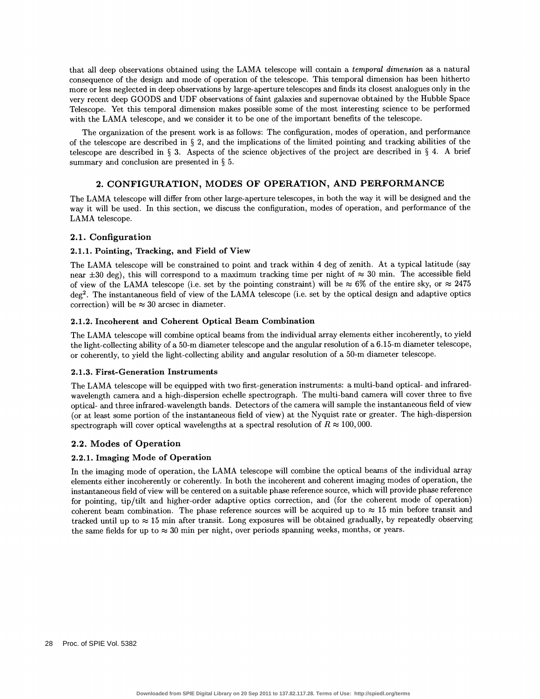that all deep observations obtained using the LAMA telescope will contain a temporal dimension as a natural consequence of the design and mode of operation of the telescope. This temporal dimension has been hitherto more or less neglected in deep observations by large-aperture telescopes and finds its closest analogues only in the very recent deep GOODS and UDF observations of faint galaxies and supernovae obtained by the Hubble Space Telescope. Yet this temporal dimension makes possible some of the most interesting science to be performed with the LAMA telescope, and we consider it to be one of the important benefits of the telescope.

The organization of the present work is as follows: The configuration, modes of operation, and performance of the telescope are described in  $\S$  2, and the implications of the limited pointing and tracking abilities of the telescope are described in  $\S$  3. Aspects of the science objectives of the project are described in  $\S$  4. A brief summary and conclusion are presented in  $\S$  5.

# 2. CONFIGURATION, MODES OF OPERATION, AND PERFORMANCE

The LAMA telescope will differ from other large-aperture telescopes, in both the way it will be designed and the way it will be used. In this section, we discuss the configuration, modes of operation, and performance of the LAMA telescope.

# 2.1. Configuration

# 2.1.1. Pointing, Tracking, and Field of View

The LAMA telescope will be constrained to point and track within 4 deg of zenith. At a typical latitude (say near  $\pm 30$  deg), this will correspond to a maximum tracking time per night of  $\approx 30$  min. The accessible field of view of the LAMA telescope (i.e. set by the pointing constraint) will be  $\approx 6\%$  of the entire sky, or  $\approx 2475$ deg<sup>2</sup>. The instantaneous field of view of the LAMA telescope (i.e. set by the optical design and adaptive optics correction) will be  $\approx 30$  arcsec in diameter.

# 2.1.2. Incoherent and Coherent Optical Beam Combination

The LAMA telescope will combine optical beams from the individual array elements either incoherently, to yield the light-collecting ability of a 50-m diameter telescope and the angular resolution of a 6.15-m diameter telescope, or coherently, to yield the light-collecting ability and angular resolution of a 50-m diameter telescope.

# 2.1.3. First-Generation Instruments

The LAMA telescope will be equipped with two first-generation instruments: a multi-band optical- and infraredwavelength camera and a high-dispersion echelle spectrograph. The multi-band camera will cover three to five optical- and three infrared-wavelength bands. Detectors of the camera will sample the instantaneous field of view (or at least some portion of the instantaneous field of view) at the Nyquist rate or greater. The high-dispersion spectrograph will cover optical wavelengths at a spectral resolution of  $R \approx 100,000$ .

# 2.2. Modes of Operation

# 2.2.1. Imaging Mode of Operation

In the imaging mode of operation, the LAMA telescope will combine the optical beams of the individual array elements either incoherently or coherently. In both the incoherent and coherent imaging modes of operation, the instantaneous field of view will be centered on a suitable phase reference source, which will provide phase reference for pointing, tip/tilt and higher-order adaptive optics correction, and (for the coherent mode of operation) coherent beam combination. The phase reference sources will be acquired up to  $\approx 15$  min before transit and tracked until up to  $\approx 15$  min after transit. Long exposures will be obtained gradually, by repeatedly observing the same fields for up to  $\approx 30$  min per night, over periods spanning weeks, months, or years.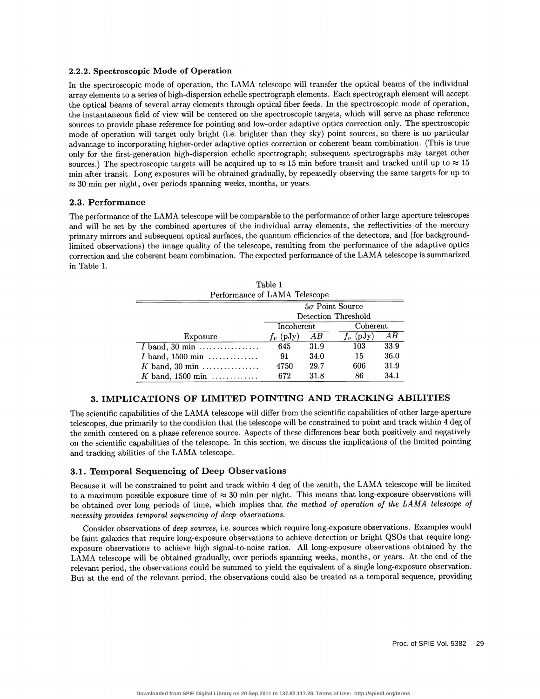### 2.2.2. Spectroscopic Mode of Operation

In the spectroscopic mode of operation, the LAMA telescope will transfer the optical beams of the individual array elements to a series of high-dispersion echelle spectrograph elements. Each spectrograph element will accept the optical beams of several array elements through optical fiber feeds. In the spectroscopic mode of operation, the instantaneous field of view will be centered on the spectroscopic targets, which will serve as phase reference sources to provide phase reference for pointing and low-order adaptive optics correction only. The spectroscopic mode of operation will target only bright (i.e. brighter than they sky) point sources, so there is no particular advantage to incorporating higher-order adaptive optics correction or coherent beam combination. (This is true only for the first-generation high-dispersion echelle spectrograph; subsequent spectrographs may target other sources.) The spectroscopic targets will be acquired up to  $\approx 15$  min before transit and tracked until up to  $\approx 15$ mm after transit. Long exposures will be obtained gradually, by repeatedly observing the same targets for up to  $\approx$  30 min per night, over periods spanning weeks, months, or years.

### 2.3. Performance

The performance of the LAMA telescope will be comparable to the performance of other large-aperture telescopes and will be set by the combined apertures of the individual array elements, the refiectivities of the mercury primary mirrors and subsequent optical surfaces, the quantum efficiencies of the detectors, and (for backgroundlimited observations) the image quality of the telescope, resulting from the performance of the adaptive optics correction and the coherent beam combination. The expected performance of the LAMA telescope is summarized in Table 1.

|                                                 | Table 1                       |      |                        |      |  |
|-------------------------------------------------|-------------------------------|------|------------------------|------|--|
|                                                 | Performance of LAMA Telescope |      |                        |      |  |
|                                                 |                               |      | $5\sigma$ Point Source |      |  |
|                                                 | Detection Threshold           |      |                        |      |  |
|                                                 | Incoherent                    |      | Coherent               |      |  |
| Exposure                                        | $f_{\nu}$ (pJy)               | AB   | $f_{\nu}$ (pJy)        | AB   |  |
| I band, 30 min $\dots\dots\dots\dots\dots\dots$ | 645                           | 31.9 | 103                    | 33.9 |  |
| I band, $1500 \text{ min}$                      | 91                            | 34.0 | 15                     | 36.0 |  |
| K band, 30 min $\dots \dots \dots \dots$        | 4750                          | 29.7 | 606                    | 31.9 |  |
| K band, $1500 \text{ min}$                      | 672                           | 31.8 | 86                     | 34.1 |  |

# 3. IMPLICATIONS OF LIMITED POINTING AND TRACKING ABILITIES

The scientific capabilities of the LAMA telescope will differ from the scientific capabilities of other large-aperture telescopes, due primarily to the condition that the telescope will be constrained to point and track within 4 deg of the zenith centered on a phase reference source. Aspects of these differences bear both positively and negatively on the scientific capabilities of the telescope. In this section, we discuss the implications of the limited pointing and tracking abilities of the LAMA telescope.

# 3.1. Temporal Sequencing of Deep Observations

Because it will be constrained to point and track within 4 deg of the zenith, the LAMA telescope will be limited to a maximum possible exposure time of  $\approx 30$  min per night. This means that long-exposure observations will be obtained over long periods of time, which implies that the method of operation of the LAMA telescope of necessity provides temporal sequencing of deep observations.

Consider observations of deep sources, i.e. sources which require long-exposure observations. Examples would be faint galaxies that require long-exposure observations to achieve detection or bright QSOs that require longexposure observations to achieve high signal-to-noise ratios. All long-exposure observations obtained by the LAMA telescope will be obtained gradually, over periods spanning weeks, months, or years. At the end of the relevant period, the observations could be summed to yield the equivalent of a single long-exposure observation. But at the end of the relevant period, the observations could also be treated as a temporal sequence, providing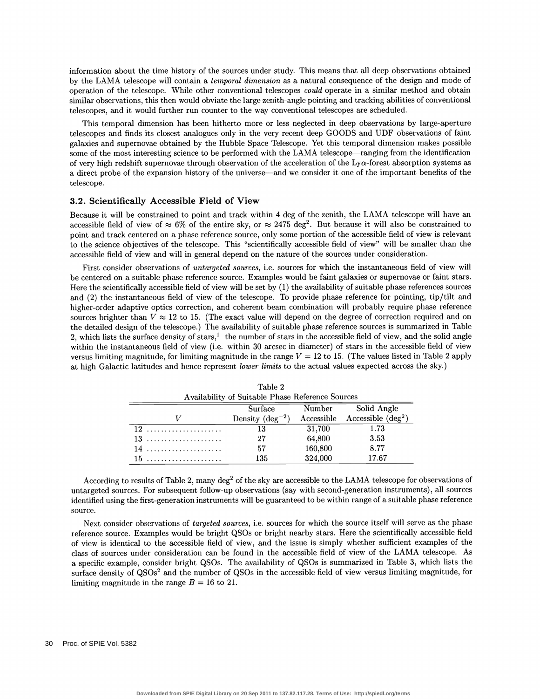information about the time history of the sources under study. This means that all deep observations obtained by the LAMA telescope will contain a temporal dimension as a natural consequence of the design and mode of operation of the telescope. While other conventional telescopes could operate in a similar method and obtain similar observations, this then would obviate the large zenith-angle pointing and tracking abilities of conventional telescopes, and it would further run counter to the way conventional telescopes are scheduled.

This temporal dimension has been hitherto more or less neglected in deep observations by large-aperture telescopes and finds its closest analogues only in the very recent deep GOODS and UDF observations of faint galaxies and supernovae obtained by the Hubble Space Telescope. Yet this temporal dimension makes possible some of the most interesting science to be performed with the LAMA telescope—ranging from the identification of very high redshift supernovae through observation of the acceleration of the  $Ly\alpha$ -forest absorption systems as a direct probe of the expansion history of the universe—and we consider it one of the important benefits of the telescope.

### 3.2. Scientifically Accessible Field of View

Because it will be constrained to point and track within 4 deg of the zenith, the LAMA telescope will have an accessible field of view of  $\approx 6\%$  of the entire sky, or  $\approx 2475 \text{ deg}^2$ . But because it will also be constrained to point and track centered on a phase reference source, only some portion of the accessible field of view is relevant to the science objectives of the telescope. This "scientifically accessible field of view" will be smaller than the accessible field of view and will in general depend on the nature of the sources under consideration.

First consider observations of untargeted sources, i.e. sources for which the instantaneous field of view will be centered on a suitable phase reference source. Examples would be faint galaxies or supernovae or faint stars. Here the scientifically accessible field of view will be set by (1) the availability of suitable phase references sources and (2) the instantaneous field of view of the telescope. To provide phase reference for pointing, tip/tilt and higher-order adaptive optics correction, and coherent beam combination will probably require phase reference sources brighter than  $V \approx 12$  to 15. (The exact value will depend on the degree of correction required and on the detailed design of the telescope.) The availability of suitable phase reference sources is summarized in Table 2, which lists the surface density of stars,<sup>1</sup> the number of stars in the accessible field of view, and the solid angle within the instantaneous field of view (i.e. within 30 arcsec in diameter) of stars in the accessible field of view versus limiting magnitude, for limiting magnitude in the range  $V = 12$  to 15. (The values listed in Table 2 apply at high Galactic latitudes and hence represent lower limits to the actual values expected across the sky.)

|         | Availability of Suitable Phase Reference Sources |         |                                            |  |  |  |
|---------|--------------------------------------------------|---------|--------------------------------------------|--|--|--|
| Surface |                                                  | Number  | Solid Angle                                |  |  |  |
|         | Density $(\text{deg}^{-2})$                      |         | $Accessible$ $Accessible$ $(\text{deg}^2)$ |  |  |  |
|         | 13                                               | 31,700  | 1.73                                       |  |  |  |
|         | 27                                               | 64,800  | 3.53                                       |  |  |  |
|         | 57                                               | 160,800 | 8.77                                       |  |  |  |
|         | 135                                              | 324,000 | 17.67                                      |  |  |  |

Table 2

According to results of Table 2, many deg<sup>2</sup> of the sky are accessible to the LAMA telescope for observations of untargeted sources. For subsequent follow-up observations (say with second-generation instruments), all sources identified using the first-generation instruments will be guaranteed to be within range of a suitable phase reference source.

Next consider observations of *targeted sources*, i.e. sources for which the source itself will serve as the phase reference source. Examples would be bright QSOs or bright nearby stars. Here the scientifically accessible field of view is identical to the accessible field of view, and the issue is simply whether sufficient examples of the class of sources under consideration can be found in the accessible field of view of the LAMA telescope. As a specific example, consider bright QSOs. The availability of QSOs is summarized in Table 3, which lists the surface density of  $QSS^2$  and the number of  $QSS$  in the accessible field of view versus limiting magnitude, for limiting magnitude in the range  $B = 16$  to 21.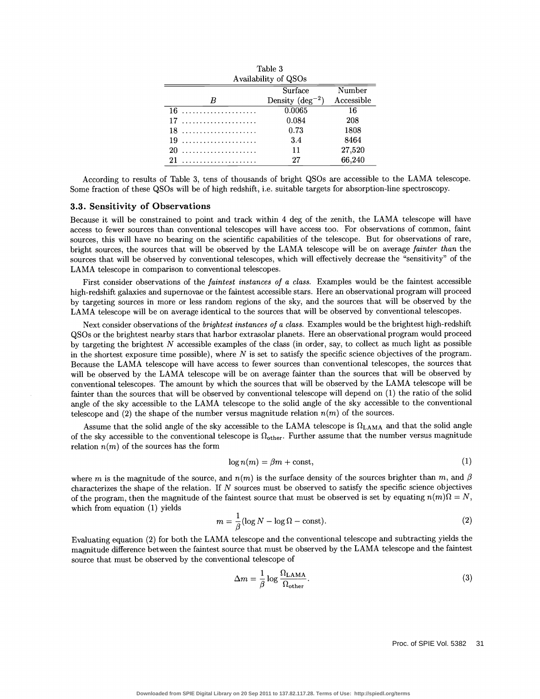| Table 3 |                             |            |  |  |  |
|---------|-----------------------------|------------|--|--|--|
|         | Availability of QSOs        |            |  |  |  |
|         | Surface                     | Number     |  |  |  |
|         | Density $(\text{deg}^{-2})$ | Accessible |  |  |  |
| $16$    | 0.0065                      | 16         |  |  |  |
|         | 0.084                       | 208        |  |  |  |
| 18      | 0.73                        | 1808       |  |  |  |
|         | 3.4                         | 8464       |  |  |  |
|         | 11                          | 27,520     |  |  |  |
|         | 27                          | 66,240     |  |  |  |

According to results of Table 3, tens of thousands of bright QSOs are accessible to the LAMA telescope. Some fraction of these QSOs will be of high redshift, i.e. suitable targets for absorption-line spectroscopy.

#### 3.3. Sensitivity of Observations

Because it will be constrained to point and track within 4 deg of the zenith, the LAMA telescope will have access to fewer sources than conventional telescopes will have access too. For observations of common, faint sources, this will have no bearing on the scientific capabilities of the telescope. But for observations of rare, bright sources, the sources that will be observed by the LAMA telescope will be on average fainter than the sources that will be observed by conventional telescopes, which will effectively decrease the "sensitivity" of the LAMA telescope in comparison to conventional telescopes.

First consider observations of the *faintest instances of a class*. Examples would be the faintest accessible high-redshift galaxies and supernovae or the faintest accessible stars. Here an observational program will proceed by targeting sources in more or less random regions of the sky, and the sources that will be observed by the LAMA telescope will be on average identical to the sources that will be observed by conventional telescopes.

Next consider observations of the brightest instances of a class. Examples would be the brightest high-redshift Q505 or the brightest nearby stars that harbor extrasolar planets. Here an observational program would proceed by targeting the brightest N accessible examples of the class (in order, say, to collect as much light as possible in the shortest exposure time possible), where  $N$  is set to satisfy the specific science objectives of the program. Because the LAMA telescope will have access to fewer sources than conventional telescopes, the sources that will be observed by the LAMA telescope will be on average fainter than the sources that will be observed by conventional telescopes. The amount by which the sources that will be observed by the LAMA telescope will be fainter than the sources that will be observed by conventional telescope will depend on (1) the ratio of the solid angle of the sky accessible to the LAMA telescope to the solid angle of the sky accessible to the conventional telescope and (2) the shape of the number versus magnitude relation  $n(m)$  of the sources.

Assume that the solid angle of the sky accessible to the LAMA telescope is  $\Omega_{\rm LAMA}$  and that the solid angle of the sky accessible to the conventional telescope is  $\Omega_{\text{other}}$ . Further assume that the number versus magnitude relation  $n(m)$  of the sources has the form

$$
\log n(m) = \beta m + \text{const},\tag{1}
$$

where m is the magnitude of the source, and  $n(m)$  is the surface density of the sources brighter than m, and  $\beta$ characterizes the shape of the relation. If  $N$  sources must be observed to satisfy the specific science objectives of the program, then the magnitude of the faintest source that must be observed is set by equating  $n(m)\Omega = N$ , which from equation  $(1)$  yields

$$
m = \frac{1}{\beta} (\log N - \log \Omega - \text{const}).
$$
 (2)

Evaluating equation (2) for both the LAMA telescope and the conventional telescope and subtracting yields the magnitude difference between the faintest source that must be observed by the LAMA telescope and the faintest source that must be observed by the conventional telescope of

$$
\Delta m = \frac{1}{\beta} \log \frac{\Omega_{\text{LAMA}}}{\Omega_{\text{other}}}.\tag{3}
$$

Proc. of SPIE Vol. 5382 31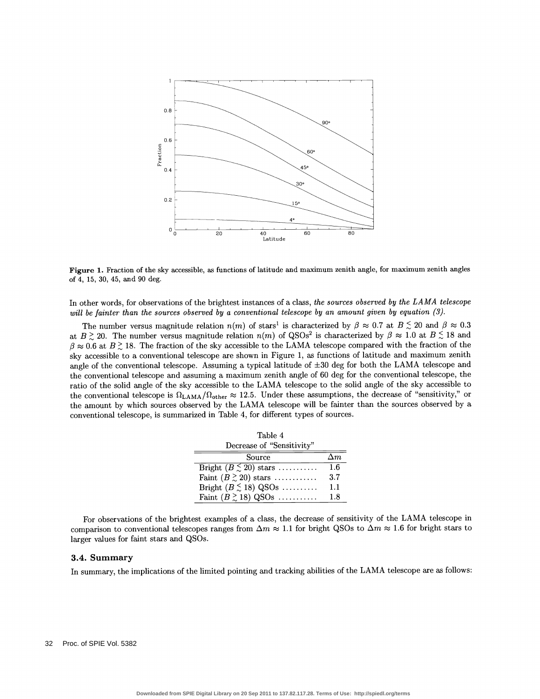

Figure 1. Fraction of the sky accessible, as functions of latitude and maximum zenith angle, for maximum zenith angles of 4, 15, 30, 45, and 90 deg.

In other words, for observations of the brightest instances of a class, the sources observed by the LAMA telescope will be fainter than the sources observed by a conventional telescope by an amount given by equation (3).

The number versus magnitude relation  $n(m)$  of stars<sup>1</sup> is characterized by  $\beta \approx 0.7$  at  $B \le 20$  and  $\beta \approx 0.3$ at  $B \ge 20$ . The number versus magnitude relation  $n(m)$  of QSOs<sup>2</sup> is characterized by  $\beta \approx 1.0$  at  $B \le 18$  and  $\beta \approx 0.6$  at  $B \gtrsim 18$ . The fraction of the sky accessible to the LAMA telescope compared with the fraction of the sky accessible to a conventional telescope are shown in Figure 1, as functions of latitude and maximum zenith angle of the conventional telescope. Assuming a typical latitude of  $\pm 30$  deg for both the LAMA telescope and the conventional telescope and assuming a maximum zenith angle of 60 deg for the conventional telescope, the ratio of the solid angle of the sky accessible to the LAMA telescope to the solid angle of the sky accessible to the conventional telescope is  $\Omega_{LAMA}/\Omega_{other} \approx 12.5$ . Under these assumptions, the decrease of "sensitivity," or the amount by which sources observed by the LAMA telescope will be fainter than the sources observed by a conventional telescope, is summarized in Table 4, for different types of sources.

| Table 4                      |               |
|------------------------------|---------------|
| Decrease of "Sensitivity"    |               |
| Source                       | $_{\Delta m}$ |
| Bright $(B \le 20)$ stars    | $1.6\,$       |
| Faint $(B \gtrsim 20)$ stars | 3.7           |
| Bright $(B \leq 18)$ QSOs    | 1.1           |
| Faint $(B \gtrsim 18)$ QSOs  | 1.8           |

For observations of the brightest examples of a class, the decrease of sensitivity of the LAMA telescope in comparison to conventional telescopes ranges from  $\Delta m \approx 1.1$  for bright QSOs to  $\Delta m \approx 1.6$  for bright stars to larger values for faint stars and QSOs.

### 3.4. Summary

In summary, the implications of the limited pointing and tracking abilities of the LAMA telescope are as follows: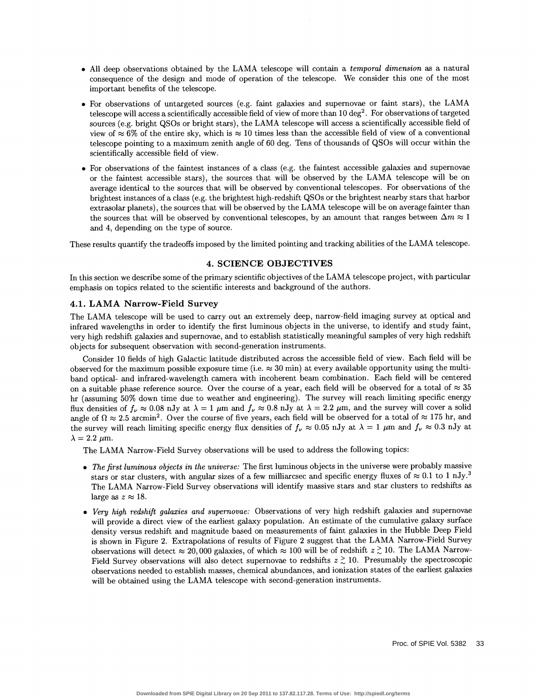- . All deep observations obtained by the LAMA telescope will contain a temporal dimension as a natural consequence of the design and mode of operation of the telescope. We consider this one of the most
- important benefits of the telescope.<br>• For observations of untargeted sources (e.g. faint galaxies and supernovae or faint stars), the LAMA telescope will access a scientifically accessible field of view of more than  $10 \text{ deg}^2$ . For observations of targeted sources (e.g. bright QSOs or bright stars), the LAMA telescope will access a scientifically accessible field of view of  $\approx 6\%$  of the entire sky, which is  $\approx 10$  times less than the accessible field of view of a conventional telescope pointing to a maximum zenith angle of 60 deg. Tens of thousands of QSOs will occur within the scientifically accessible field of view.<br>• For observations of the faintest instances of a class (e.g. the faintest accessible galaxies and supernovae
- or the faintest accessible stars), the sources that will be observed by the LAMA telescope will be on average identical to the sources that will be observed by conventional telescopes. For observations of the brightest instances of a class (e.g. the brightest high-redshift QSOs or the brightest nearby stars that harbor extrasolar planets), the sources that will be observed by the LAMA telescope will be on average fainter than the sources that will be observed by conventional telescopes, by an amount that ranges between  $\Delta m \approx 1$ and 4, depending on the type of source.

These results quantify the tradeoffs imposed by the limited pointing and tracking abilities of the LAMA telescope.

### 4. SCIENCE OBJECTIVES

In this section we describe some of the primary scientific objectives of the LAMA telescope project, with particular emphasis on topics related to the scientific interests and background of the authors.

### 4.1. LAMA Narrow-Field Survey

The LAMA telescope will be used to carry out an extremely deep, narrow-field imaging survey at optical and infrared wavelengths in order to identify the first luminous objects in the universe, to identify and study faint, very high redshift galaxies and supernovae, and to establish statistically meaningful samples of very high redshift objects for subsequent observation with second-generation instruments.

Consider 10 fields of high Galactic latitude distributed across the accessible field of view. Each field will be observed for the maximum possible exposure time (i.e.  $\approx 30$  min) at every available opportunity using the multiband optical- and infrared-wavelength camera with incoherent beam combination. Each field will be centered on a suitable phase reference source. Over the course of a year, each field will be observed for a total of  $\approx 35$ hr (assuming 50% down time due to weather and engineering). The survey will reach limiting specific energy flux densities of  $f_\nu \approx 0.08$  nJy at  $\lambda = 1$   $\mu$ m and  $f_\nu \approx 0.8$  nJy at  $\lambda = 2.2$   $\mu$ m, and the survey will cover a solid angle of  $\Omega \approx 2.5$  arcmin<sup>2</sup>. Over the course of five years, each field will be observed for a total of  $\approx 175$  hr, and the survey will reach limiting specific energy flux densities of  $f_{\nu} \approx 0.05$  nJy at  $\lambda = 1$   $\mu$ m and  $f_{\nu} \approx 0.3$  nJy at  $\lambda = 2.2 \ \mu \text{m}$ .

The LAMA Narrow-Field Survey observations will be used to address the following topics:

- The first luminous objects in the universe: The first luminous objects in the universe were probably massive stars or star clusters, with angular sizes of a few milliarcsec and specific energy fluxes of  $\approx 0.1$  to 1 nJy.<sup>3</sup> The LAMA Narrow-Field Survey observations will identify massive stars and star clusters to redshifts as
- large as  $z \approx 18$ .<br>• *Very high redshift galaxies and supernovae:* Observations of very high redshift galaxies and supernovae will provide a direct view of the earliest galaxy population. An estimate of the cumulative galaxy surface density versus redshift and magnitude based on measurements of faint galaxies in the Hubble Deep Field is shown in Figure 2. Extrapolations of results of Figure 2 suggest that the LAMA Narrow-Field Survey observations will detect  $\approx 20,000$  galaxies, of which  $\approx 100$  will be of redshift  $z \gtrsim 10$ . The LAMA Narrow-Field Survey observations will also detect supernovae to redshifts  $z \gtrsim 10$ . Presumably the spectroscopic observations needed to establish masses, chemical abundances, and ionization states of the earliest galaxies will be obtained using the LAMA telescope with second-generation instruments.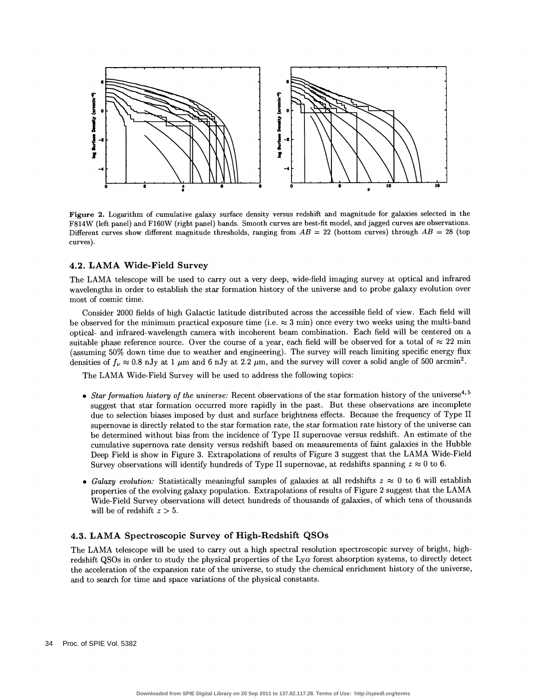

Figure 2. Logarithm of cumulative galaxy surface density versus redshift and magnitude for galaxies selected in the F814W (left panel) and F16OW (right panel) bands. Smooth curves are best-fit model, and jagged curves are observations. Different curves show different magnitude thresholds, ranging from  $AB = 22$  (bottom curves) through  $AB = 28$  (top curves).

### 4.2. LAMA Wide-Field Survey

The LAMA telescope will be used to carry out a very deep, wide-field imaging survey at optical and infrared wavelengths in order to establish the star formation history of the universe and to probe galaxy evolution over most of cosmic time.

Consider 2000 fields of high Galactic latitude distributed across the accessible field of view. Each field will be observed for the minimum practical exposure time (i.e.  $\approx$  3 min) once every two weeks using the multi-band optical- and infrared-wavelength camera with incoherent beam combination. Each field will be centered on a suitable phase reference source. Over the course of a year, each field will be observed for a total of  $\approx 22$  min (assuming 50% down time due to weather and engineering) . The survey will reach limiting specific energy flux densities of  $f_{\nu} \approx 0.8$  nJy at 1  $\mu$ m and 6 nJy at 2.2  $\mu$ m, and the survey will cover a solid angle of 500 arcmin<sup>2</sup>.

The LAMA Wide-Field Survey will be used to address the following topics:

- Star formation history of the universe: Recent observations of the star formation history of the universe<sup>4,5</sup> suggest that star formation occurred more rapidly in the past. But these observations are incomplete due to selection biases imposed by dust and surface brightness effects. Because the frequency of Type II supernovae is directly related to the star formation rate, the star formation rate history of the universe can be determined without bias from the incidence of Type II supernovae versus redshift. An estimate of the cumulative supernova rate density versus redshift based on measurements of faint galaxies in the Hubble Deep Field is show in Figure 3. Extrapolations of results of Figure 3 suggest that the LAMA Wide-Field Survey observations will identify hundreds of Type II supernovae, at redshifts spanning  $z \approx 0$  to 6.
- Galaxy evolution: Statistically meaningful samples of galaxies at all redshifts  $z \approx 0$  to 6 will establish properties of the evolving galaxy population. Extrapolations of results of Figure 2 suggest that the LAMA Wide-Field Survey observations will detect hundreds of thousands of galaxies, of which tens of thousands will be of redshift  $z > 5$ .

# 4.3. LAMA Spectroscopic Survey of High-Redshift QSOs

The LAMA telescope will be used to carry out a high spectral resolution spectroscopic survey of bright, highredshift QSOs in order to study the physical properties of the  $Ly\alpha$  forest absorption systems, to directly detect the acceleration of the expansion rate of the universe, to study the chemical enrichment history of the universe, and to search for time and space variations of the physical constants.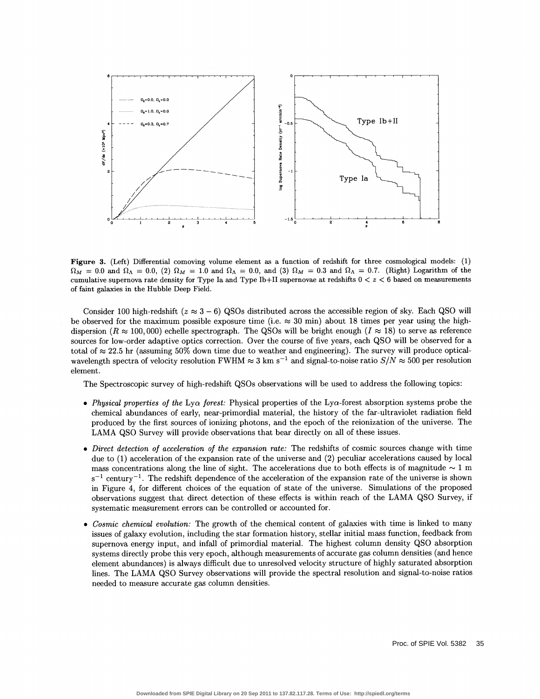

Figure 3. (Left) Differential comoving volume element as a function of redshift for three cosmological models: (1)  $\Omega_M = 0.0$  and  $\Omega_{\Lambda} = 0.0$ , (2)  $\Omega_M = 1.0$  and  $\Omega_{\Lambda} = 0.0$ , and (3)  $\Omega_M = 0.3$  and  $\Omega_{\Lambda} = 0.7$ . (Right) Logarithm of the cumulative supernova rate density for Type Ia and Type Ib+II supernovae at redshifts  $0 < z < 6$  based on measurements of faint galaxies in the Hubble Deep Field.

Consider 100 high-redshift ( $z \approx 3 - 6$ ) QSOs distributed across the accessible region of sky. Each QSO will be observed for the maximum possible exposure time (i.e.  $\approx 30$  min) about 18 times per year using the highdispersion ( $R \approx 100,000$ ) echelle spectrograph. The QSOs will be bright enough ( $I \approx 18$ ) to serve as reference sources for low-order adaptive optics correction. Over the course of five years, each QSO will be observed for a total of  $\approx 22.5$  hr (assuming 50% down time due to weather and engineering). The survey will produce opticalwavelength spectra of velocity resolution FWHM  $\approx 3$  km s<sup>-1</sup> and signal-to-noise ratio  $S/N \approx 500$  per resolution element.

The Spectroscopic survey of high-redshift QSOs observations will be used to address the following topics:

- Physical properties of the Ly $\alpha$  forest: Physical properties of the Ly $\alpha$ -forest absorption systems probe the chemical abundances of early, near-primordial material, the history of the far-ultraviolet radiation field produced by the first sources of ionizing photons, and the epoch of the reionization of the universe. The LAMA QSO Survey will provide observations that bear directly on all of these issues.
- Direct detection of acceleration of the expansion rate: The redshifts of cosmic sources change with time due to (1) acceleration of the expansion rate of the universe and (2) peculiar accelerations caused by local mass concentrations along the line of sight. The accelerations due to both effects is of magnitude  $\sim 1$  m  $s^{-1}$  century<sup>-1</sup>. The redshift dependence of the acceleration of the expansion rate of the universe is shown in Figure 4, for different choices of the equation of state of the universe. Simulations of the proposed observations suggest that direct detection of these effects is within reach of the LAMA QSO Survey, if systematic measurement errors can be controlled or accounted for.
- . Cosmic chemical evolution: The growth of the chemical content of galaxies with time is linked to many issues of galaxy evolution, including the star formation history, stellar initial mass function, feedback from supernova energy input, and infall of primordial material. The highest column density QSO absorption systems directly probe this very epoch, although measurements of accurate gas column densities (and hence element abundances) is always difficult due to unresolved velocity structure of highly saturated absorption lines. The LAMA QSO Survey observations will provide the spectral resolution and signal-to-noise ratios needed to measure accurate gas column densities.

Proc. of SPIE Vol. 5382 35